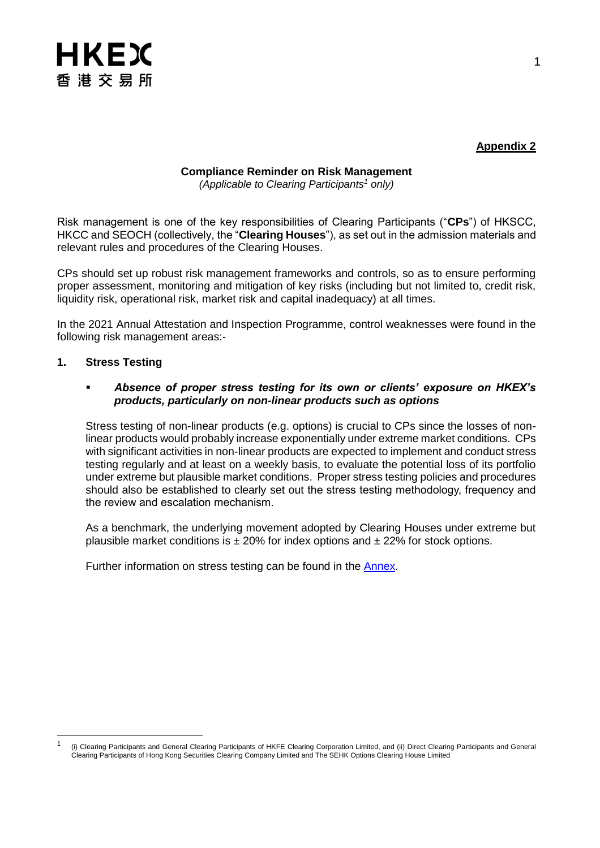

## **Appendix 2**

# **Compliance Reminder on Risk Management**

*(Applicable to Clearing Participants<sup>1</sup> only)*

Risk management is one of the key responsibilities of Clearing Participants ("**CPs**") of HKSCC, HKCC and SEOCH (collectively, the "**Clearing Houses**"), as set out in the admission materials and relevant rules and procedures of the Clearing Houses.

CPs should set up robust risk management frameworks and controls, so as to ensure performing proper assessment, monitoring and mitigation of key risks (including but not limited to, credit risk, liquidity risk, operational risk, market risk and capital inadequacy) at all times.

In the 2021 Annual Attestation and Inspection Programme, control weaknesses were found in the following risk management areas:-

#### **1. Stress Testing**

l

#### *Absence of proper stress testing for its own or clients' exposure on HKEX's products, particularly on non-linear products such as options*

Stress testing of non-linear products (e.g. options) is crucial to CPs since the losses of nonlinear products would probably increase exponentially under extreme market conditions. CPs with significant activities in non-linear products are expected to implement and conduct stress testing regularly and at least on a weekly basis, to evaluate the potential loss of its portfolio under extreme but plausible market conditions. Proper stress testing policies and procedures should also be established to clearly set out the stress testing methodology, frequency and the review and escalation mechanism.

As a benchmark, the underlying movement adopted by Clearing Houses under extreme but plausible market conditions is  $\pm 20\%$  for index options and  $\pm 22\%$  for stock options.

Further information on stress testing can be found in the **Annex**.

<sup>1</sup> (i) Clearing Participants and General Clearing Participants of HKFE Clearing Corporation Limited, and (ii) Direct Clearing Participants and General Clearing Participants of Hong Kong Securities Clearing Company Limited and The SEHK Options Clearing House Limited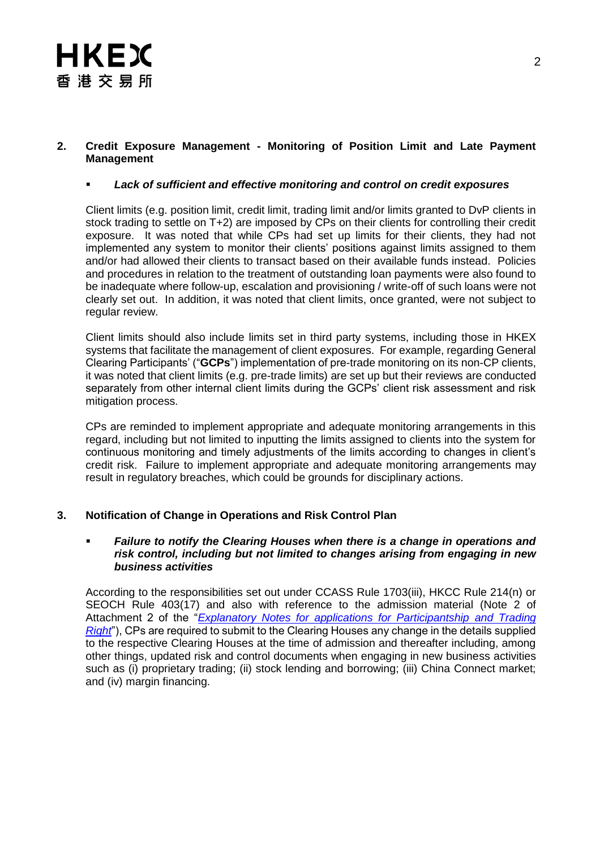#### **2. Credit Exposure Management - Monitoring of Position Limit and Late Payment Management**

#### *Lack of sufficient and effective monitoring and control on credit exposures*

Client limits (e.g. position limit, credit limit, trading limit and/or limits granted to DvP clients in stock trading to settle on T+2) are imposed by CPs on their clients for controlling their credit exposure. It was noted that while CPs had set up limits for their clients, they had not implemented any system to monitor their clients' positions against limits assigned to them and/or had allowed their clients to transact based on their available funds instead. Policies and procedures in relation to the treatment of outstanding loan payments were also found to be inadequate where follow-up, escalation and provisioning / write-off of such loans were not clearly set out. In addition, it was noted that client limits, once granted, were not subject to regular review.

Client limits should also include limits set in third party systems, including those in HKEX systems that facilitate the management of client exposures. For example, regarding General Clearing Participants' ("**GCPs**") implementation of pre-trade monitoring on its non-CP clients, it was noted that client limits (e.g. pre-trade limits) are set up but their reviews are conducted separately from other internal client limits during the GCPs' client risk assessment and risk mitigation process.

CPs are reminded to implement appropriate and adequate monitoring arrangements in this regard, including but not limited to inputting the limits assigned to clients into the system for continuous monitoring and timely adjustments of the limits according to changes in client's credit risk. Failure to implement appropriate and adequate monitoring arrangements may result in regulatory breaches, which could be grounds for disciplinary actions.

## **3. Notification of Change in Operations and Risk Control Plan**

#### *Failure to notify the Clearing Houses when there is a change in operations and risk control, including but not limited to changes arising from engaging in new business activities*

According to the responsibilities set out under CCASS Rule 1703(iii), HKCC Rule 214(n) or SEOCH Rule 403(17) and also with reference to the admission material (Note 2 of Attachment 2 of the "*[Explanatory Notes for applications for Participantship](https://www.hkex.com.hk/-/media/HKEX-Market/Services/Rules-and-Forms-and-Fees/Forms/Securities-(Hong-Kong)/Trading/Participantship/Participantship---Admission/EN1.pdf?la=en) and Trading [Right](https://www.hkex.com.hk/-/media/HKEX-Market/Services/Rules-and-Forms-and-Fees/Forms/Securities-(Hong-Kong)/Trading/Participantship/Participantship---Admission/EN1.pdf?la=en)*"), CPs are required to submit to the Clearing Houses any change in the details supplied to the respective Clearing Houses at the time of admission and thereafter including, among other things, updated risk and control documents when engaging in new business activities such as (i) proprietary trading; (ii) stock lending and borrowing; (iii) China Connect market; and (iv) margin financing.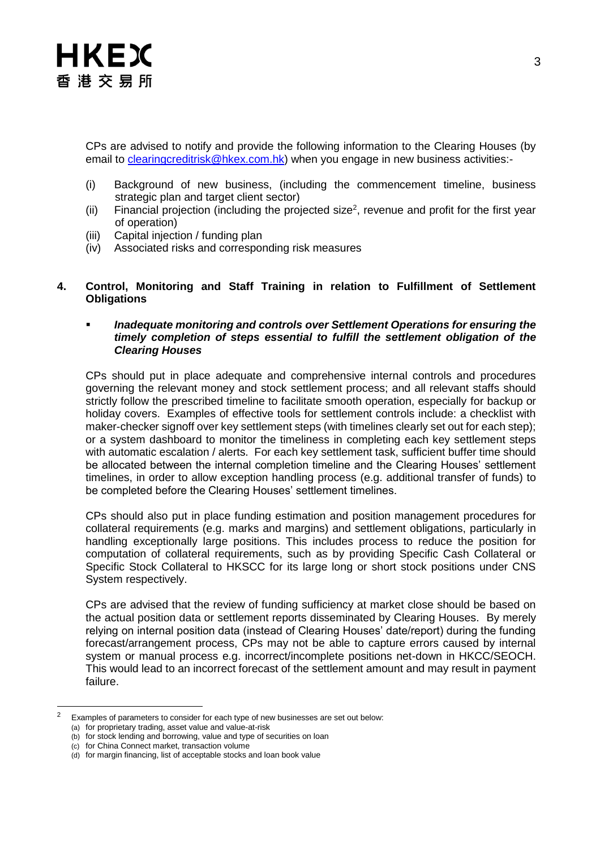

CPs are advised to notify and provide the following information to the Clearing Houses (by email to [clearingcreditrisk@hkex.com.hk\)](mailto:clearingcreditrisk@hkex.com.hk) when you engage in new business activities:-

- (i) Background of new business, (including the commencement timeline, business strategic plan and target client sector)
- (ii) Financial projection (including the projected size<sup>2</sup>, revenue and profit for the first year of operation)
- (iii) Capital injection / funding plan
- (iv) Associated risks and corresponding risk measures

#### **4. Control, Monitoring and Staff Training in relation to Fulfillment of Settlement Obligations**

#### *Inadequate monitoring and controls over Settlement Operations for ensuring the timely completion of steps essential to fulfill the settlement obligation of the Clearing Houses*

CPs should put in place adequate and comprehensive internal controls and procedures governing the relevant money and stock settlement process; and all relevant staffs should strictly follow the prescribed timeline to facilitate smooth operation, especially for backup or holiday covers. Examples of effective tools for settlement controls include: a checklist with maker-checker signoff over key settlement steps (with timelines clearly set out for each step); or a system dashboard to monitor the timeliness in completing each key settlement steps with automatic escalation / alerts. For each key settlement task, sufficient buffer time should be allocated between the internal completion timeline and the Clearing Houses' settlement timelines, in order to allow exception handling process (e.g. additional transfer of funds) to be completed before the Clearing Houses' settlement timelines.

CPs should also put in place funding estimation and position management procedures for collateral requirements (e.g. marks and margins) and settlement obligations, particularly in handling exceptionally large positions. This includes process to reduce the position for computation of collateral requirements, such as by providing Specific Cash Collateral or Specific Stock Collateral to HKSCC for its large long or short stock positions under CNS System respectively.

CPs are advised that the review of funding sufficiency at market close should be based on the actual position data or settlement reports disseminated by Clearing Houses. By merely relying on internal position data (instead of Clearing Houses' date/report) during the funding forecast/arrangement process, CPs may not be able to capture errors caused by internal system or manual process e.g. incorrect/incomplete positions net-down in HKCC/SEOCH. This would lead to an incorrect forecast of the settlement amount and may result in payment failure.

l

Examples of parameters to consider for each type of new businesses are set out below:

<sup>(</sup>a) for proprietary trading, asset value and value-at-risk

<sup>(</sup>b) for stock lending and borrowing, value and type of securities on loan

<sup>(</sup>c) for China Connect market, transaction volume

<sup>(</sup>d) for margin financing, list of acceptable stocks and loan book value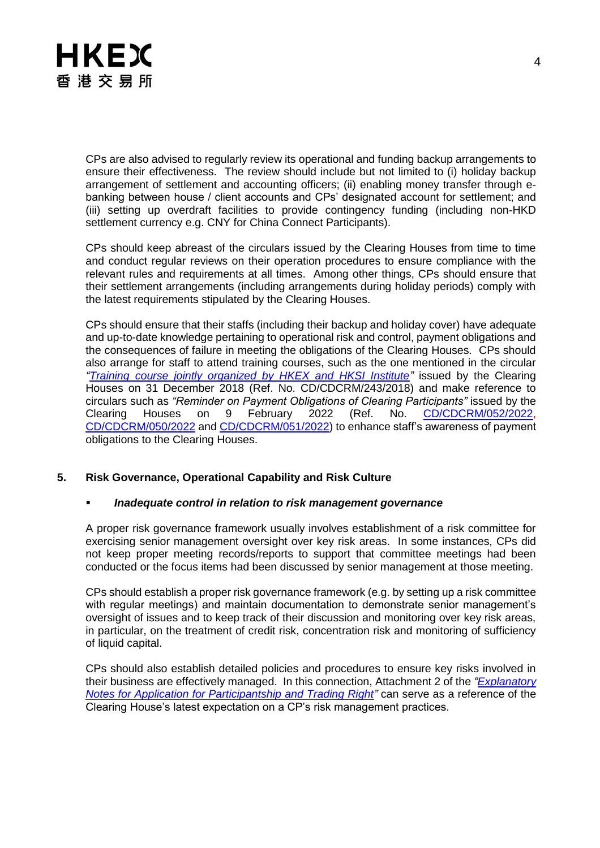

CPs are also advised to regularly review its operational and funding backup arrangements to ensure their effectiveness. The review should include but not limited to (i) holiday backup arrangement of settlement and accounting officers; (ii) enabling money transfer through ebanking between house / client accounts and CPs' designated account for settlement; and (iii) setting up overdraft facilities to provide contingency funding (including non-HKD settlement currency e.g. CNY for China Connect Participants).

CPs should keep abreast of the circulars issued by the Clearing Houses from time to time and conduct regular reviews on their operation procedures to ensure compliance with the relevant rules and requirements at all times. Among other things, CPs should ensure that their settlement arrangements (including arrangements during holiday periods) comply with the latest requirements stipulated by the Clearing Houses.

CPs should ensure that their staffs (including their backup and holiday cover) have adequate and up-to-date knowledge pertaining to operational risk and control, payment obligations and the consequences of failure in meeting the obligations of the Clearing Houses. CPs should also arrange for staff to attend training courses, such as the one mentioned in the circular *["Training course jointly organized by HKEX and HKSI Institute"](https://www.hkex.com.hk/-/media/HKEX-Market/Services/Circulars-and-Notices/Participant-and-Members-Circulars/HKCC/2018/Circular_Training_eng_final_20181231_V2.pdf)* issued by the Clearing Houses on 31 December 2018 (Ref. No. CD/CDCRM/243/2018) and make reference to circulars such as *"Reminder on Payment Obligations of Clearing Participants"* issued by the Clearing Houses on 9 February 2022 (Ref. No. [CD/CDCRM/052/2022,](https://www.hkex.com.hk/-/media/HKEX-Market/Services/Circulars-and-Notices/Participant-and-Members-Circulars/HKSCC/2022/ce_HKSCC_CCRC_052_2022.pdf) [CD/CDCRM/050/2022](https://www.hkex.com.hk/-/media/HKEX-Market/Services/Circulars-and-Notices/Participant-and-Members-Circulars/HKCC/2022/ce_HKCC_DCRC_050_2022.pdf) and [CD/CDCRM/051/2022\)](https://www.hkex.com.hk/-/media/HKEX-Market/Services/Circulars-and-Notices/Participant-and-Members-Circulars/SEOCH/2022/ce_SEOCH_DCRC_051_2022.pdf) to enhance staff's awareness of payment obligations to the Clearing Houses.

#### **5. Risk Governance, Operational Capability and Risk Culture**

#### *Inadequate control in relation to risk management governance*

A proper risk governance framework usually involves establishment of a risk committee for exercising senior management oversight over key risk areas. In some instances, CPs did not keep proper meeting records/reports to support that committee meetings had been conducted or the focus items had been discussed by senior management at those meeting.

CPs should establish a proper risk governance framework (e.g. by setting up a risk committee with regular meetings) and maintain documentation to demonstrate senior management's oversight of issues and to keep track of their discussion and monitoring over key risk areas, in particular, on the treatment of credit risk, concentration risk and monitoring of sufficiency of liquid capital.

CPs should also establish detailed policies and procedures to ensure key risks involved in their business are effectively managed. In this connection, Attachment 2 of the *["Explanatory](https://www.hkex.com.hk/-/media/HKEX-Market/Services/Rules-and-Forms-and-Fees/Forms/Securities-(Hong-Kong)/Trading/Participantship/Participantship---Admission/EN1.pdf?la=en)  [Notes for Application for Participantship and Trading Right"](https://www.hkex.com.hk/-/media/HKEX-Market/Services/Rules-and-Forms-and-Fees/Forms/Securities-(Hong-Kong)/Trading/Participantship/Participantship---Admission/EN1.pdf?la=en)* can serve as a reference of the Clearing House's latest expectation on a CP's risk management practices.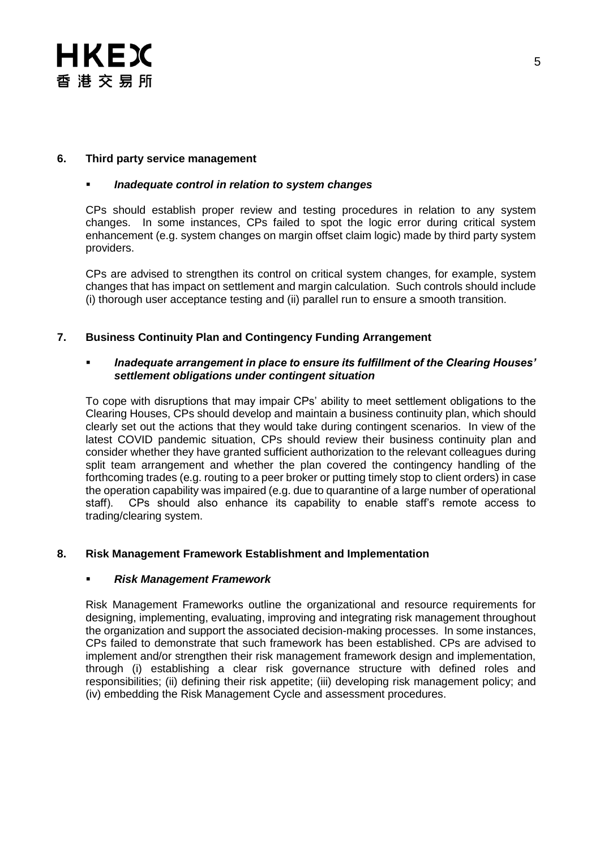# HKEX 香港交易所

#### **6. Third party service management**

#### *Inadequate control in relation to system changes*

CPs should establish proper review and testing procedures in relation to any system changes. In some instances, CPs failed to spot the logic error during critical system enhancement (e.g. system changes on margin offset claim logic) made by third party system providers.

CPs are advised to strengthen its control on critical system changes, for example, system changes that has impact on settlement and margin calculation. Such controls should include (i) thorough user acceptance testing and (ii) parallel run to ensure a smooth transition.

#### **7. Business Continuity Plan and Contingency Funding Arrangement**

#### *Inadequate arrangement in place to ensure its fulfillment of the Clearing Houses' settlement obligations under contingent situation*

To cope with disruptions that may impair CPs' ability to meet settlement obligations to the Clearing Houses, CPs should develop and maintain a business continuity plan, which should clearly set out the actions that they would take during contingent scenarios. In view of the latest COVID pandemic situation, CPs should review their business continuity plan and consider whether they have granted sufficient authorization to the relevant colleagues during split team arrangement and whether the plan covered the contingency handling of the forthcoming trades (e.g. routing to a peer broker or putting timely stop to client orders) in case the operation capability was impaired (e.g. due to quarantine of a large number of operational staff). CPs should also enhance its capability to enable staff's remote access to trading/clearing system.

#### **8. Risk Management Framework Establishment and Implementation**

#### *Risk Management Framework*

Risk Management Frameworks outline the organizational and resource requirements for designing, implementing, evaluating, improving and integrating risk management throughout the organization and support the associated decision-making processes. In some instances, CPs failed to demonstrate that such framework has been established. CPs are advised to implement and/or strengthen their risk management framework design and implementation, through (i) establishing a clear risk governance structure with defined roles and responsibilities; (ii) defining their risk appetite; (iii) developing risk management policy; and (iv) embedding the Risk Management Cycle and assessment procedures.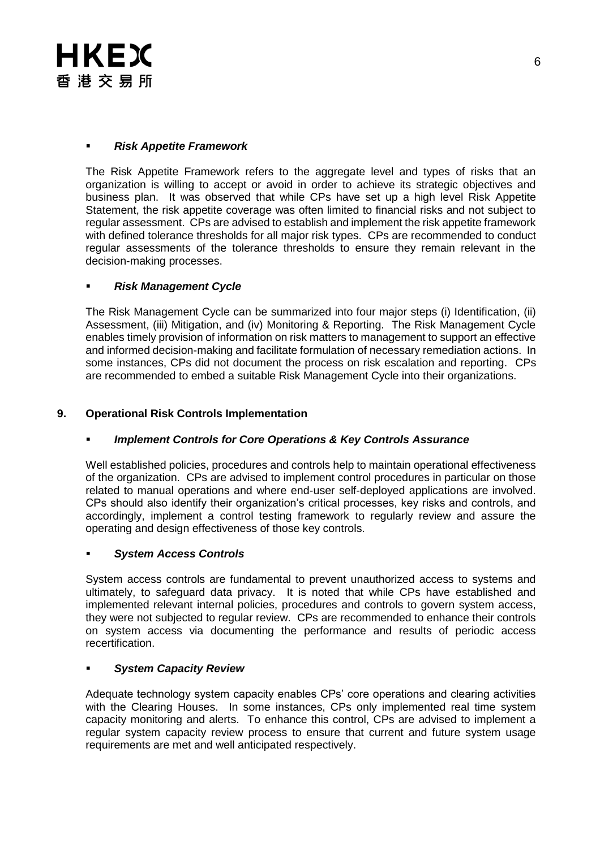

#### *Risk Appetite Framework*

The Risk Appetite Framework refers to the aggregate level and types of risks that an organization is willing to accept or avoid in order to achieve its strategic objectives and business plan. It was observed that while CPs have set up a high level Risk Appetite Statement, the risk appetite coverage was often limited to financial risks and not subject to regular assessment. CPs are advised to establish and implement the risk appetite framework with defined tolerance thresholds for all major risk types. CPs are recommended to conduct regular assessments of the tolerance thresholds to ensure they remain relevant in the decision-making processes.

## *Risk Management Cycle*

The Risk Management Cycle can be summarized into four major steps (i) Identification, (ii) Assessment, (iii) Mitigation, and (iv) Monitoring & Reporting. The Risk Management Cycle enables timely provision of information on risk matters to management to support an effective and informed decision-making and facilitate formulation of necessary remediation actions. In some instances, CPs did not document the process on risk escalation and reporting. CPs are recommended to embed a suitable Risk Management Cycle into their organizations.

## **9. Operational Risk Controls Implementation**

## *Implement Controls for Core Operations & Key Controls Assurance*

Well established policies, procedures and controls help to maintain operational effectiveness of the organization. CPs are advised to implement control procedures in particular on those related to manual operations and where end-user self-deployed applications are involved. CPs should also identify their organization's critical processes, key risks and controls, and accordingly, implement a control testing framework to regularly review and assure the operating and design effectiveness of those key controls.

#### *System Access Controls*

System access controls are fundamental to prevent unauthorized access to systems and ultimately, to safeguard data privacy. It is noted that while CPs have established and implemented relevant internal policies, procedures and controls to govern system access, they were not subjected to regular review. CPs are recommended to enhance their controls on system access via documenting the performance and results of periodic access recertification.

#### *System Capacity Review*

Adequate technology system capacity enables CPs' core operations and clearing activities with the Clearing Houses. In some instances, CPs only implemented real time system capacity monitoring and alerts. To enhance this control, CPs are advised to implement a regular system capacity review process to ensure that current and future system usage requirements are met and well anticipated respectively.